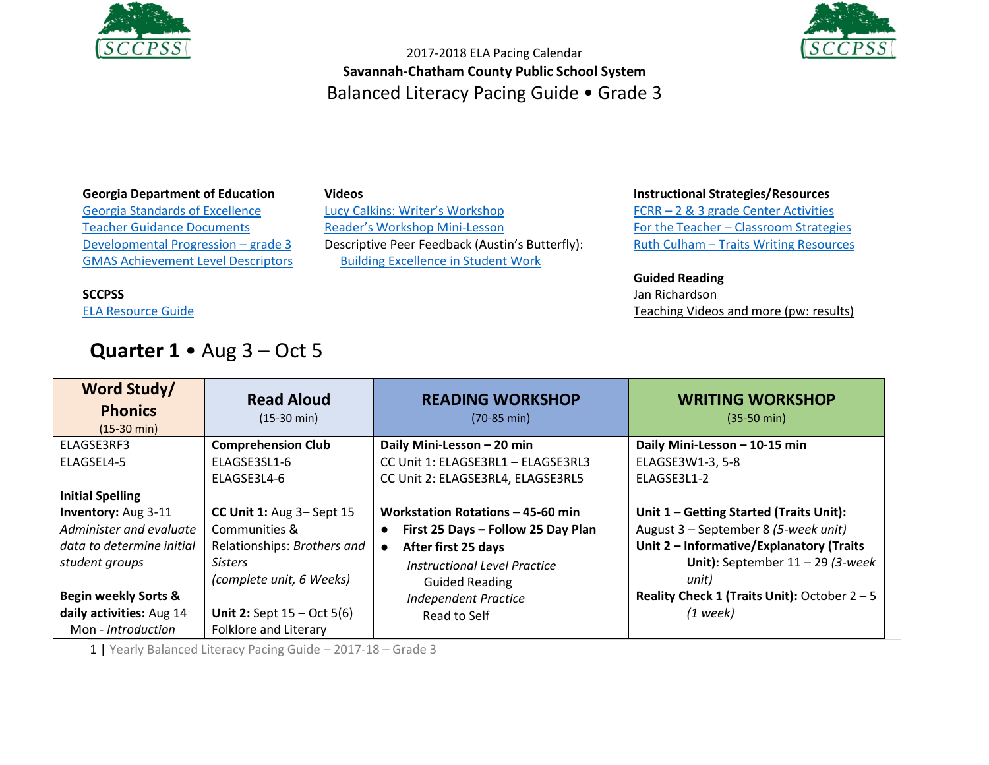

**SCCPSS**

[ELA Resource Guide](https://drive.google.com/file/d/0B3Uu6Ml6RRkDT2c1TXRMUTJRTlE/view)

**daily activities:** Aug 14 Mon - *Introduction*



2017-2018 ELA Pacing Calendar **Savannah-Chatham County Public School System** Balanced Literacy Pacing Guide • Grade 3

#### **Georgia Department of Education**

[Georgia Standards of Excellence](https://drive.google.com/open?id=0B9TBXLcHMe3WRDdoLW5RTkFZenc) [Teacher Guidance Documents](https://drive.google.com/open?id=0B9TBXLcHMe3WeE1PZU9uUjRpd1k) [Developmental Progression](https://drive.google.com/open?id=0B9TBXLcHMe3WZXNvaDJacVZ5Y1U) – grade 3 [GMAS Achievement Level Descriptors](https://www.gadoe.org/Curriculum-Instruction-and-Assessment/Assessment/Documents/Milestones/ALD/ALDS_for_Grade_3_Milestones_EOG_ELA.pdf)

#### **Videos**

[Lucy Calkins: Writer's Workshop](https://www.youtube.com/watch?v=zPRM2ZXyrS0&list=PLb5RXypPqP5sNAYNUDEfwaq2QYPauhCcc) [Reader's Workshop Mini](https://www.youtube.com/watch?v=x-wGHenBAEc&index=13&list=PL1R9MLStsjiGBNHPeCMUidYAVX0_1GwNj)-Lesson Descriptive Peer Feedback (Austin's Butterfly): [Building Excellence in Student Work](https://vimeo.com/38247060)

> *Independent Practice*  Read to Self

#### **Instructional Strategies/Resources**

FCRR – [2 & 3 grade Center Activities](http://www.fcrr.org/resources/resources_sca_2-3.html) For the Teacher – [Classroom Strategies](http://www.fortheteachers.org/instructional_strategies/)  Ruth Culham – [Traits Writing Resources](http://www.culhamwriting.com/LIBRARY/RESOURCES/scoringguides.html)

#### **Guided Reading**

[Jan Richardson](http://www.janrichardsonguidedreading.com/home) [Teaching Videos and more \(pw: results\)](http://www.scholastic.com/NSFresources/)

*(1 week)*

| Word Study/<br><b>Phonics</b><br>$(15-30 \text{ min})$ | <b>Read Aloud</b><br>$(15-30 \text{ min})$ | <b>READING WORKSHOP</b><br>$(70-85 \text{ min})$ | <b>WRITING WORKSHOP</b><br>$(35-50 \text{ min})$ |
|--------------------------------------------------------|--------------------------------------------|--------------------------------------------------|--------------------------------------------------|
| ELAGSE3RF3                                             | <b>Comprehension Club</b>                  | Daily Mini-Lesson - 20 min                       | Daily Mini-Lesson - 10-15 min                    |
| ELAGSEL4-5                                             | ELAGSE3SL1-6                               | CC Unit 1: ELAGSE3RL1 - ELAGSE3RL3               | ELAGSE3W1-3, 5-8                                 |
|                                                        | ELAGSE3L4-6                                | CC Unit 2: ELAGSE3RL4, ELAGSE3RL5                | ELAGSE3L1-2                                      |
| <b>Initial Spelling</b>                                |                                            |                                                  |                                                  |
| <b>Inventory: Aug 3-11</b>                             | CC Unit 1: Aug 3- Sept 15                  | Workstation Rotations - 45-60 min                | Unit 1 - Getting Started (Traits Unit):          |
| Administer and evaluate                                | Communities &                              | First 25 Days - Follow 25 Day Plan<br>٠          | August 3 - September 8 (5-week unit)             |
| data to determine initial                              | Relationships: Brothers and                | After first 25 days                              | Unit 2 - Informative/Explanatory (Traits         |
| student groups                                         | <b>Sisters</b>                             | Instructional Level Practice                     | Unit): September $11 - 29$ (3-week               |
|                                                        | (complete unit, 6 Weeks)                   | <b>Guided Reading</b>                            | unit)                                            |
| <b>Begin weekly Sorts &amp;</b>                        |                                            | Indenendent Practice                             | Reality Check 1 (Traits Unit): October $2 - 5$   |

1 **|** Yearly Balanced Literacy Pacing Guide – 2017-18 – Grade 3 Folklore and Literary

**Unit 2:** Sept 15 – Oct 5(6)

## **Quarter 1** • Aug 3 – Oct 5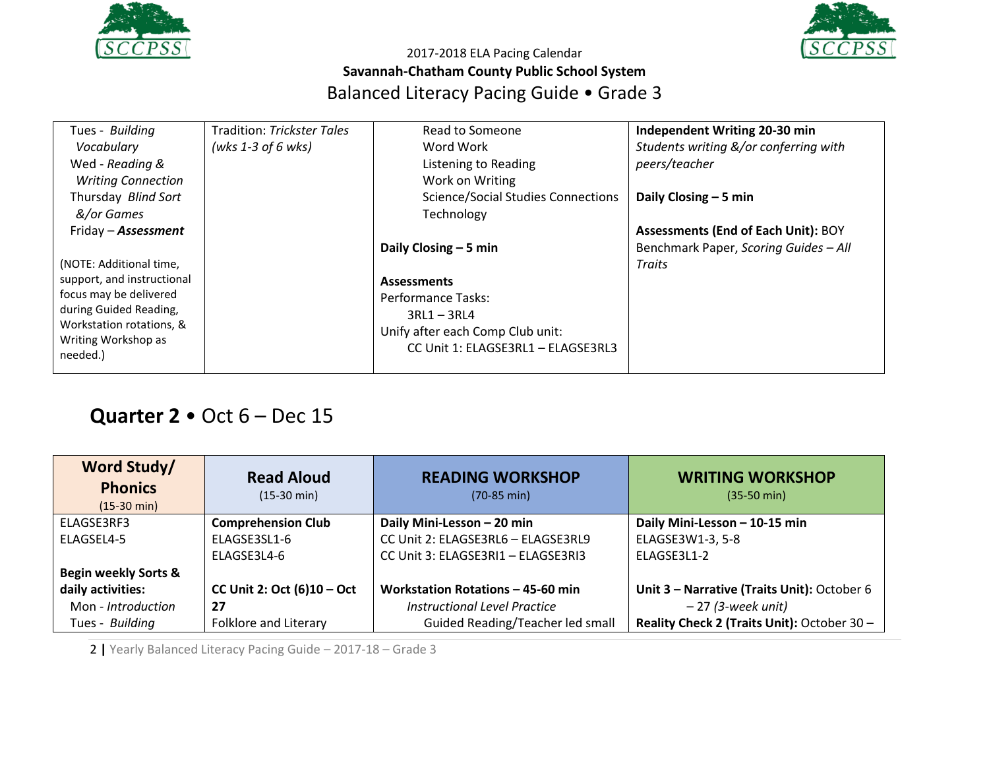



| Tues - Building            | Tradition: Trickster Tales | Read to Someone                           | Independent Writing 20-30 min              |
|----------------------------|----------------------------|-------------------------------------------|--------------------------------------------|
| Vocabulary                 | (wks 1-3 of 6 wks)         | Word Work                                 | Students writing &/or conferring with      |
| Wed - Reading &            |                            | Listening to Reading                      | peers/teacher                              |
| <b>Writing Connection</b>  |                            | Work on Writing                           |                                            |
| Thursday Blind Sort        |                            | <b>Science/Social Studies Connections</b> | Daily Closing $-5$ min                     |
| &/or Games                 |                            | Technology                                |                                            |
| Friday - <b>Assessment</b> |                            |                                           | <b>Assessments (End of Each Unit): BOY</b> |
|                            |                            | Daily Closing $-5$ min                    | Benchmark Paper, Scoring Guides - All      |
| (NOTE: Additional time,    |                            |                                           | Traits                                     |
| support, and instructional |                            | <b>Assessments</b>                        |                                            |
| focus may be delivered     |                            | Performance Tasks:                        |                                            |
| during Guided Reading,     |                            | $3RL1 - 3RL4$                             |                                            |
| Workstation rotations, &   |                            | Unify after each Comp Club unit:          |                                            |
| Writing Workshop as        |                            |                                           |                                            |
| needed.)                   |                            | CC Unit 1: ELAGSE3RL1 - ELAGSE3RL3        |                                            |
|                            |                            |                                           |                                            |

# **Quarter 2** • Oct 6 – Dec 15

| Word Study/<br><b>Phonics</b><br>$(15-30 \text{ min})$ | <b>Read Aloud</b><br>$(15-30 \text{ min})$ | <b>READING WORKSHOP</b><br>$(70-85 \text{ min})$ | <b>WRITING WORKSHOP</b><br>$(35-50 \text{ min})$ |
|--------------------------------------------------------|--------------------------------------------|--------------------------------------------------|--------------------------------------------------|
| ELAGSE3RF3                                             | <b>Comprehension Club</b>                  | Daily Mini-Lesson - 20 min                       | Daily Mini-Lesson - 10-15 min                    |
| ELAGSEL4-5                                             | ELAGSE3SL1-6                               | CC Unit 2: ELAGSE3RL6 - ELAGSE3RL9               | ELAGSE3W1-3, 5-8                                 |
|                                                        | ELAGSE3L4-6                                | CC Unit 3: ELAGSE3RI1 - ELAGSE3RI3               | ELAGSE3L1-2                                      |
| <b>Begin weekly Sorts &amp;</b>                        |                                            |                                                  |                                                  |
| daily activities:                                      | CC Unit 2: Oct $(6)10 - Oct$               | Workstation Rotations - 45-60 min                | Unit 3 - Narrative (Traits Unit): October 6      |
| Mon - Introduction                                     | 27                                         | <b>Instructional Level Practice</b>              | $-27$ (3-week unit)                              |
| Tues - Building                                        | Folklore and Literary                      | Guided Reading/Teacher led small                 | Reality Check 2 (Traits Unit): October 30 -      |

2 **|** Yearly Balanced Literacy Pacing Guide – 2017-18 – Grade 3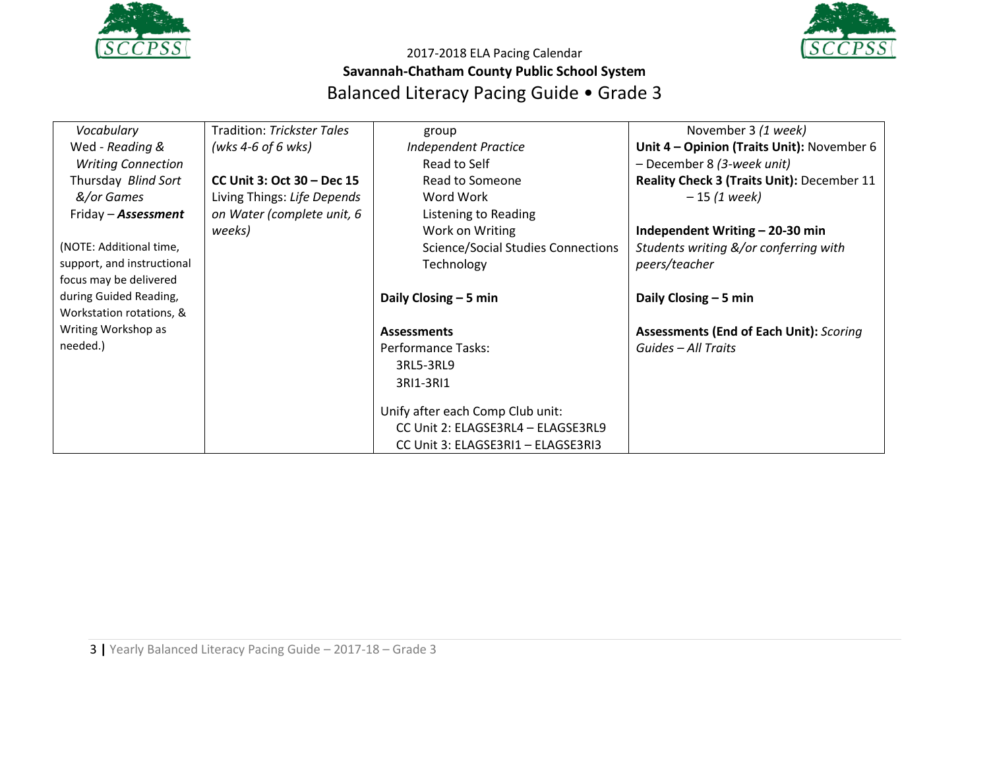



| Vocabulary                 | <b>Tradition: Trickster Tales</b> | group                                     | November 3 (1 week)                               |
|----------------------------|-----------------------------------|-------------------------------------------|---------------------------------------------------|
| Wed - Reading &            | (wks 4-6 of 6 wks)                | <b>Independent Practice</b>               | Unit 4 - Opinion (Traits Unit): November 6        |
| <b>Writing Connection</b>  |                                   | Read to Self                              | - December 8 (3-week unit)                        |
| Thursday Blind Sort        | CC Unit 3: Oct 30 – Dec 15        | Read to Someone                           | <b>Reality Check 3 (Traits Unit): December 11</b> |
| &/or Games                 | Living Things: Life Depends       | Word Work                                 | $-15(1 week)$                                     |
| Friday – <b>Assessment</b> | on Water (complete unit, 6        | Listening to Reading                      |                                                   |
|                            | weeks)                            | Work on Writing                           | Independent Writing - 20-30 min                   |
| (NOTE: Additional time,    |                                   | <b>Science/Social Studies Connections</b> | Students writing &/or conferring with             |
| support, and instructional |                                   | Technology                                | peers/teacher                                     |
| focus may be delivered     |                                   |                                           |                                                   |
| during Guided Reading,     |                                   | Daily Closing $-5$ min                    | Daily Closing - 5 min                             |
| Workstation rotations, &   |                                   |                                           |                                                   |
| Writing Workshop as        |                                   | <b>Assessments</b>                        | <b>Assessments (End of Each Unit): Scoring</b>    |
| needed.)                   |                                   | Performance Tasks:                        | Guides - All Traits                               |
|                            |                                   | 3RL5-3RL9                                 |                                                   |
|                            |                                   | 3RI1-3RI1                                 |                                                   |
|                            |                                   |                                           |                                                   |
|                            |                                   | Unify after each Comp Club unit:          |                                                   |
|                            |                                   | CC Unit 2: ELAGSE3RL4 - ELAGSE3RL9        |                                                   |
|                            |                                   | CC Unit 3: ELAGSE3RI1 - ELAGSE3RI3        |                                                   |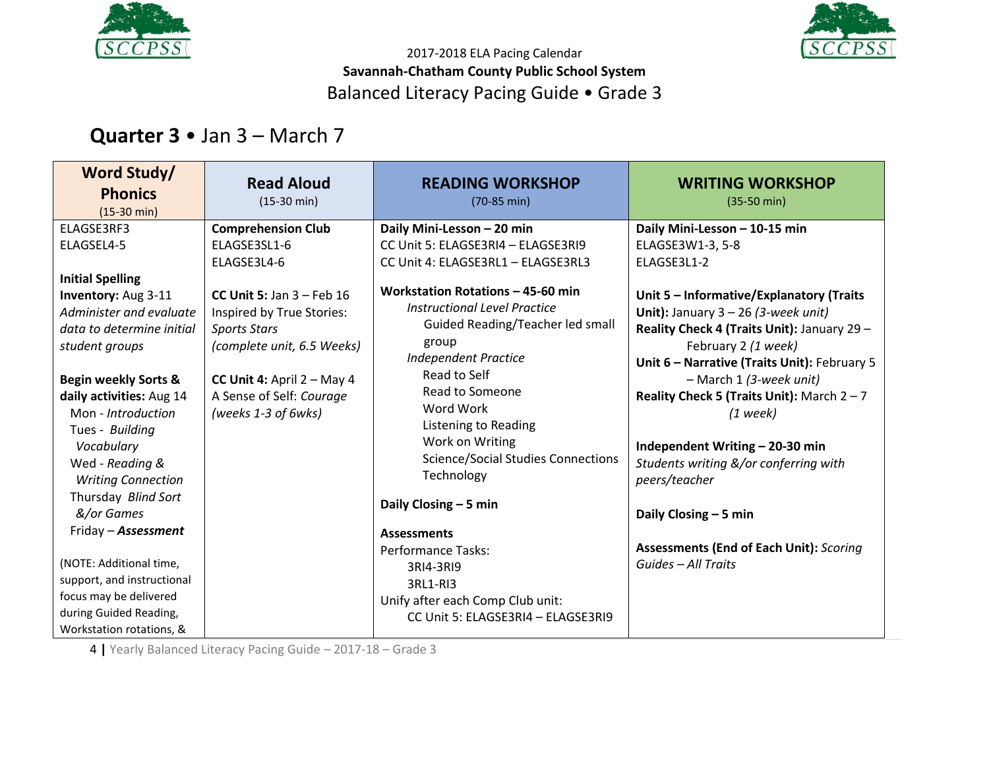



# **Quarter 3** • Jan 3 – March 7

| Word Study/<br><b>Phonics</b><br>$(15-30 \text{ min})$                                                                                | <b>Read Aloud</b><br>$(15-30 \text{ min})$                                      | <b>READING WORKSHOP</b><br>(70-85 min)                                                                                                                              | <b>WRITING WORKSHOP</b><br>$(35-50 \text{ min})$                                                                                                                                                                  |
|---------------------------------------------------------------------------------------------------------------------------------------|---------------------------------------------------------------------------------|---------------------------------------------------------------------------------------------------------------------------------------------------------------------|-------------------------------------------------------------------------------------------------------------------------------------------------------------------------------------------------------------------|
| ELAGSE3RF3                                                                                                                            | <b>Comprehension Club</b>                                                       | Daily Mini-Lesson - 20 min                                                                                                                                          | Daily Mini-Lesson - 10-15 min                                                                                                                                                                                     |
| ELAGSEL4-5                                                                                                                            | ELAGSE3SL1-6<br>ELAGSE3L4-6                                                     | CC Unit 5: ELAGSE3RI4 - ELAGSE3RI9<br>CC Unit 4: ELAGSE3RL1 - ELAGSE3RL3                                                                                            | ELAGSE3W1-3, 5-8<br>ELAGSE3L1-2                                                                                                                                                                                   |
| <b>Initial Spelling</b><br>Inventory: Aug 3-11                                                                                        | CC Unit 5: Jan $3$ – Feb 16                                                     | Workstation Rotations - 45-60 min<br><b>Instructional Level Practice</b>                                                                                            | Unit 5 - Informative/Explanatory (Traits                                                                                                                                                                          |
| Administer and evaluate<br>data to determine initial<br>student groups                                                                | Inspired by True Stories:<br><b>Sports Stars</b><br>(complete unit, 6.5 Weeks)  | Guided Reading/Teacher led small<br>group                                                                                                                           | Unit): January $3 - 26$ (3-week unit)<br>Reality Check 4 (Traits Unit): January 29 -<br>February 2 (1 week)                                                                                                       |
| <b>Begin weekly Sorts &amp;</b><br>daily activities: Aug 14<br>Mon - Introduction<br>Tues - Building<br>Vocabulary<br>Wed - Reading & | CC Unit 4: April $2 - May 4$<br>A Sense of Self: Courage<br>(weeks 1-3 of 6wks) | <b>Independent Practice</b><br>Read to Self<br>Read to Someone<br>Word Work<br>Listening to Reading<br>Work on Writing<br><b>Science/Social Studies Connections</b> | Unit 6 - Narrative (Traits Unit): February 5<br>- March 1 (3-week unit)<br>Reality Check 5 (Traits Unit): March $2 - 7$<br>$(1$ week)<br>Independent Writing - 20-30 min<br>Students writing &/or conferring with |
| <b>Writing Connection</b><br>Thursday Blind Sort<br>&/or Games                                                                        |                                                                                 | Technology<br>Daily Closing - 5 min                                                                                                                                 | peers/teacher<br>Daily Closing - 5 min                                                                                                                                                                            |
| Friday - Assessment                                                                                                                   |                                                                                 | <b>Assessments</b><br>Performance Tasks:                                                                                                                            | <b>Assessments (End of Each Unit): Scoring</b>                                                                                                                                                                    |
| (NOTE: Additional time,<br>support, and instructional                                                                                 |                                                                                 | 3RI4-3RI9<br>3RL1-RI3                                                                                                                                               | Guides - All Traits                                                                                                                                                                                               |
| focus may be delivered<br>during Guided Reading,<br>Workstation rotations, &                                                          |                                                                                 | Unify after each Comp Club unit:<br>CC Unit 5: ELAGSE3RI4 - ELAGSE3RI9                                                                                              |                                                                                                                                                                                                                   |

4 **|** Yearly Balanced Literacy Pacing Guide – 2017-18 – Grade 3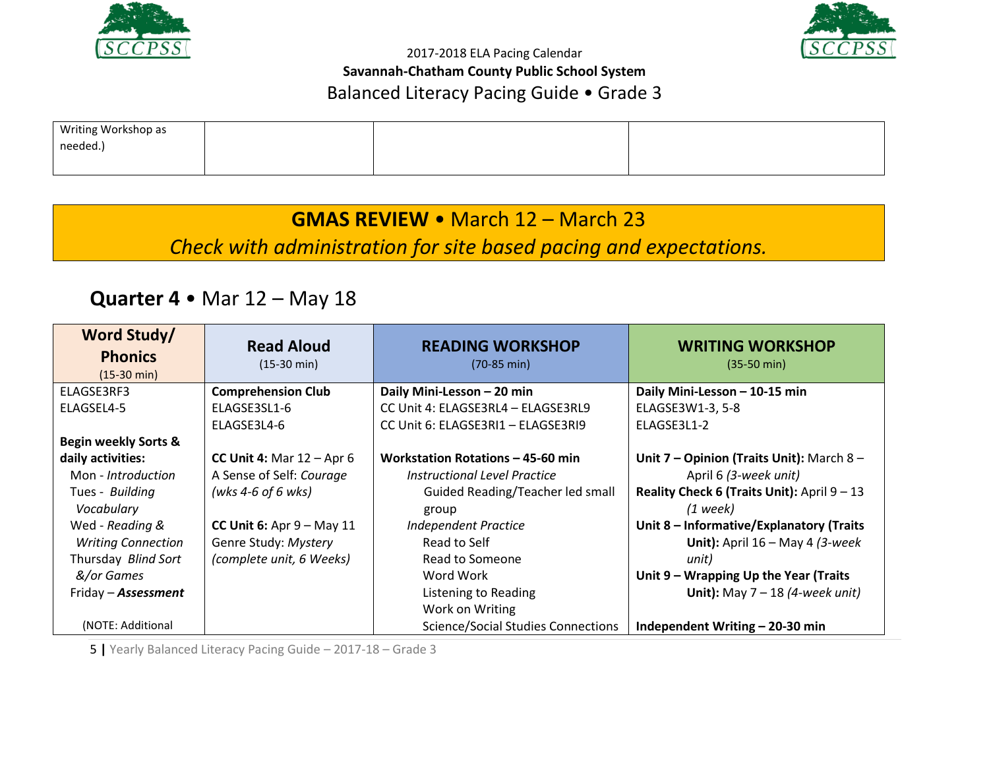



# **GMAS REVIEW** • March 12 – March 23

*Check with administration for site based pacing and expectations.*

## **Quarter 4** • Mar 12 – May 18

| Word Study/<br><b>Phonics</b><br>$(15-30 \text{ min})$ | <b>Read Aloud</b><br>$(15-30 \text{ min})$ | <b>READING WORKSHOP</b><br>$(70-85 \text{ min})$ | <b>WRITING WORKSHOP</b><br>$(35-50 \text{ min})$ |
|--------------------------------------------------------|--------------------------------------------|--------------------------------------------------|--------------------------------------------------|
| ELAGSE3RF3                                             | <b>Comprehension Club</b>                  | Daily Mini-Lesson - 20 min                       | Daily Mini-Lesson - 10-15 min                    |
| ELAGSEL4-5                                             | ELAGSE3SL1-6                               | CC Unit 4: ELAGSE3RL4 - ELAGSE3RL9               | ELAGSE3W1-3, 5-8                                 |
|                                                        | ELAGSE3L4-6                                | CC Unit 6: ELAGSE3RI1 - ELAGSE3RI9               | ELAGSE3L1-2                                      |
| <b>Begin weekly Sorts &amp;</b>                        |                                            |                                                  |                                                  |
| daily activities:                                      | CC Unit 4: Mar $12 -$ Apr 6                | Workstation Rotations - 45-60 min                | Unit $7$ – Opinion (Traits Unit): March $8$ –    |
| Mon - Introduction                                     | A Sense of Self: Courage                   | Instructional Level Practice                     | April 6 (3-week unit)                            |
| Tues - Building                                        | (wks 4-6 of 6 wks)                         | Guided Reading/Teacher led small                 | Reality Check 6 (Traits Unit): April $9 - 13$    |
| Vocabulary                                             |                                            | group                                            | $(1$ week)                                       |
| Wed - Reading &                                        | CC Unit 6: Apr $9 - May 11$                | <b>Independent Practice</b>                      | Unit 8 - Informative/Explanatory (Traits         |
| <b>Writing Connection</b>                              | Genre Study: Mystery                       | Read to Self                                     | Unit): April $16 -$ May 4 (3-week                |
| Thursday Blind Sort                                    | (complete unit, 6 Weeks)                   | Read to Someone                                  | unit)                                            |
| &/or Games                                             |                                            | Word Work                                        | Unit $9$ – Wrapping Up the Year (Traits          |
| Friday - Assessment                                    |                                            | Listening to Reading                             | Unit): May $7 - 18$ (4-week unit)                |
|                                                        |                                            | Work on Writing                                  |                                                  |
| (NOTE: Additional                                      |                                            | <b>Science/Social Studies Connections</b>        | Independent Writing - 20-30 min                  |

5 **|** Yearly Balanced Literacy Pacing Guide – 2017-18 – Grade 3